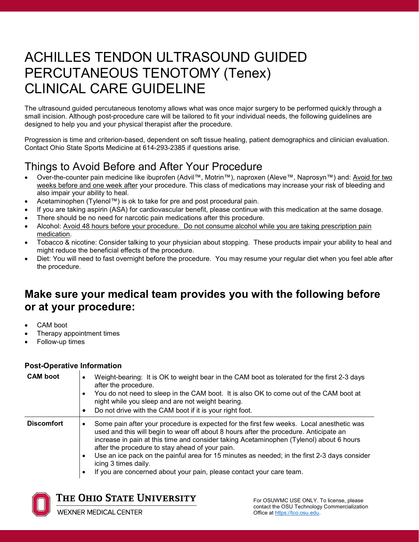# ACHILLES TENDON ULTRASOUND GUIDED PERCUTANEOUS TENOTOMY (Tenex) CLINICAL CARE GUIDELINE

The ultrasound guided percutaneous tenotomy allows what was once major surgery to be performed quickly through a small incision. Although post-procedure care will be tailored to fit your individual needs, the following guidelines are designed to help you and your physical therapist after the procedure.

Progression is time and criterion-based, dependent on soft tissue healing, patient demographics and clinician evaluation. Contact Ohio State Sports Medicine at 614-293-2385 if questions arise.

## Things to Avoid Before and After Your Procedure

- Over-the-counter pain medicine like ibuprofen (Advil™, Motrin™), naproxen (Aleve™, Naprosyn™) and: Avoid for two weeks before and one week after your procedure. This class of medications may increase your risk of bleeding and also impair your ability to heal.
- Acetaminophen (Tylenol™) is ok to take for pre and post procedural pain.
- If you are taking aspirin (ASA) for cardiovascular benefit, please continue with this medication at the same dosage.
- There should be no need for narcotic pain medications after this procedure.
- Alcohol: Avoid 48 hours before your procedure. Do not consume alcohol while you are taking prescription pain medication.
- Tobacco & nicotine: Consider talking to your physician about stopping. These products impair your ability to heal and might reduce the beneficial effects of the procedure.
- Diet: You will need to fast overnight before the procedure. You may resume your regular diet when you feel able after the procedure.

### **Make sure your medical team provides you with the following before or at your procedure:**

- CAM boot
- Therapy appointment times
- Follow-up times

### **Post-Operative Information**

| <b>CAM</b> boot   | Weight-bearing: It is OK to weight bear in the CAM boot as tolerated for the first 2-3 days<br>$\bullet$<br>after the procedure.<br>You do not need to sleep in the CAM boot. It is also OK to come out of the CAM boot at<br>night while you sleep and are not weight bearing.<br>Do not drive with the CAM boot if it is your right foot.                                                                                                                                                                                     |  |
|-------------------|---------------------------------------------------------------------------------------------------------------------------------------------------------------------------------------------------------------------------------------------------------------------------------------------------------------------------------------------------------------------------------------------------------------------------------------------------------------------------------------------------------------------------------|--|
| <b>Discomfort</b> | Some pain after your procedure is expected for the first few weeks. Local anesthetic was<br>used and this will begin to wear off about 8 hours after the procedure. Anticipate an<br>increase in pain at this time and consider taking Acetaminophen (Tylenol) about 6 hours<br>after the procedure to stay ahead of your pain.<br>Use an ice pack on the painful area for 15 minutes as needed; in the first 2-3 days consider<br>icing 3 times daily.<br>If you are concerned about your pain, please contact your care team. |  |



The Ohio State University

**WEXNER MEDICAL CENTER**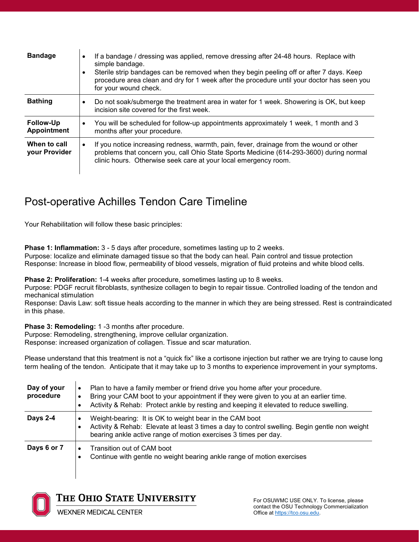| <b>Bandage</b>                         | If a bandage / dressing was applied, remove dressing after 24-48 hours. Replace with<br>simple bandage.<br>Sterile strip bandages can be removed when they begin peeling off or after 7 days. Keep<br>procedure area clean and dry for 1 week after the procedure until your doctor has seen you<br>for your wound check. |
|----------------------------------------|---------------------------------------------------------------------------------------------------------------------------------------------------------------------------------------------------------------------------------------------------------------------------------------------------------------------------|
| <b>Bathing</b>                         | Do not soak/submerge the treatment area in water for 1 week. Showering is OK, but keep<br>incision site covered for the first week.                                                                                                                                                                                       |
| <b>Follow-Up</b><br><b>Appointment</b> | You will be scheduled for follow-up appointments approximately 1 week, 1 month and 3<br>$\bullet$<br>months after your procedure.                                                                                                                                                                                         |
| When to call<br>your Provider          | If you notice increasing redness, warmth, pain, fever, drainage from the wound or other<br>$\bullet$<br>problems that concern you, call Ohio State Sports Medicine (614-293-3600) during normal<br>clinic hours. Otherwise seek care at your local emergency room.                                                        |

### Post-operative Achilles Tendon Care Timeline

Your Rehabilitation will follow these basic principles:

**Phase 1: Inflammation:** 3 - 5 days after procedure, sometimes lasting up to 2 weeks.

Purpose: localize and eliminate damaged tissue so that the body can heal. Pain control and tissue protection Response: Increase in blood flow, permeability of blood vessels, migration of fluid proteins and white blood cells.

**Phase 2: Proliferation:** 1-4 weeks after procedure, sometimes lasting up to 8 weeks.

Purpose: PDGF recruit fibroblasts, synthesize collagen to begin to repair tissue. Controlled loading of the tendon and mechanical stimulation

Response: Davis Law: soft tissue heals according to the manner in which they are being stressed. Rest is contraindicated in this phase.

**Phase 3: Remodeling:** 1 -3 months after procedure.

Purpose: Remodeling, strengthening, improve cellular organization. Response: increased organization of collagen. Tissue and scar maturation.

Please understand that this treatment is not a "quick fix" like a cortisone injection but rather we are trying to cause long term healing of the tendon. Anticipate that it may take up to 3 months to experience improvement in your symptoms.

| Day of your<br>procedure | Plan to have a family member or friend drive you home after your procedure.<br>Bring your CAM boot to your appointment if they were given to you at an earlier time.<br>Activity & Rehab: Protect ankle by resting and keeping it elevated to reduce swelling. |
|--------------------------|----------------------------------------------------------------------------------------------------------------------------------------------------------------------------------------------------------------------------------------------------------------|
| <b>Days 2-4</b>          | Weight-bearing: It is OK to weight bear in the CAM boot<br>$\bullet$<br>Activity & Rehab: Elevate at least 3 times a day to control swelling. Begin gentle non weight<br>bearing ankle active range of motion exercises 3 times per day.                       |
| Days 6 or 7              | Transition out of CAM boot<br>Continue with gentle no weight bearing ankle range of motion exercises                                                                                                                                                           |



THE OHIO STATE UNIVERSITY

**WEXNER MEDICAL CENTER**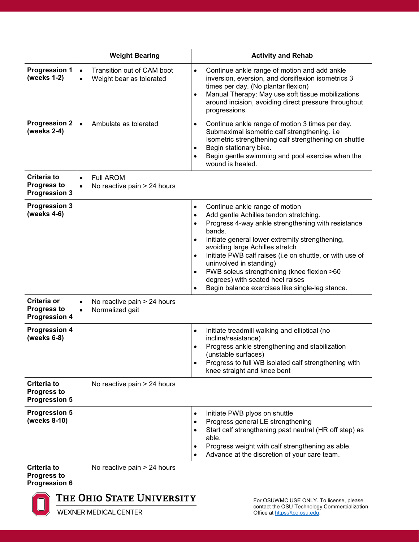|                                                                  | <b>Weight Bearing</b>                                                            | <b>Activity and Rehab</b>                                                                                                                                                                                                                                                                                                                                                                                                                                                                                                                             |
|------------------------------------------------------------------|----------------------------------------------------------------------------------|-------------------------------------------------------------------------------------------------------------------------------------------------------------------------------------------------------------------------------------------------------------------------------------------------------------------------------------------------------------------------------------------------------------------------------------------------------------------------------------------------------------------------------------------------------|
| Progression 1<br>(weeks 1-2)                                     | Transition out of CAM boot<br>$\bullet$<br>Weight bear as tolerated<br>$\bullet$ | Continue ankle range of motion and add ankle<br>$\bullet$<br>inversion, eversion, and dorsiflexion isometrics 3<br>times per day. (No plantar flexion)<br>Manual Therapy: May use soft tissue mobilizations<br>$\bullet$<br>around incision, avoiding direct pressure throughout<br>progressions.                                                                                                                                                                                                                                                     |
| <b>Progression 2</b><br>(weeks 2-4)                              | Ambulate as tolerated<br>$\bullet$                                               | Continue ankle range of motion 3 times per day.<br>$\bullet$<br>Submaximal isometric calf strengthening. i.e<br>Isometric strengthening calf strengthening on shuttle<br>Begin stationary bike.<br>$\bullet$<br>Begin gentle swimming and pool exercise when the<br>$\bullet$<br>wound is healed.                                                                                                                                                                                                                                                     |
| <b>Criteria to</b><br><b>Progress to</b><br><b>Progression 3</b> | <b>Full AROM</b><br>$\bullet$<br>No reactive pain > 24 hours<br>$\bullet$        |                                                                                                                                                                                                                                                                                                                                                                                                                                                                                                                                                       |
| <b>Progression 3</b><br>(weeks 4-6)                              |                                                                                  | Continue ankle range of motion<br>$\bullet$<br>Add gentle Achilles tendon stretching.<br>$\bullet$<br>Progress 4-way ankle strengthening with resistance<br>$\bullet$<br>bands.<br>Initiate general lower extremity strengthening,<br>$\bullet$<br>avoiding large Achilles stretch<br>Initiate PWB calf raises (i.e on shuttle, or with use of<br>$\bullet$<br>uninvolved in standing)<br>PWB soleus strengthening (knee flexion >60<br>$\bullet$<br>degrees) with seated heel raises<br>Begin balance exercises like single-leg stance.<br>$\bullet$ |
| Criteria or<br><b>Progress to</b><br><b>Progression 4</b>        | No reactive pain > 24 hours<br>$\bullet$<br>Normalized gait<br>$\bullet$         |                                                                                                                                                                                                                                                                                                                                                                                                                                                                                                                                                       |
| <b>Progression 4</b><br>(weeks 6-8)                              |                                                                                  | $\bullet$<br>Initiate treadmill walking and elliptical (no<br>incline/resistance)<br>Progress ankle strengthening and stabilization<br>$\bullet$<br>(unstable surfaces)<br>Progress to full WB isolated calf strengthening with<br>$\bullet$<br>knee straight and knee bent                                                                                                                                                                                                                                                                           |
| <b>Criteria to</b><br><b>Progress to</b><br><b>Progression 5</b> | No reactive pain > 24 hours                                                      |                                                                                                                                                                                                                                                                                                                                                                                                                                                                                                                                                       |
| <b>Progression 5</b><br>(weeks 8-10)                             |                                                                                  | Initiate PWB plyos on shuttle<br>$\bullet$<br>Progress general LE strengthening<br>$\bullet$<br>Start calf strengthening past neutral (HR off step) as<br>$\bullet$<br>able.<br>Progress weight with calf strengthening as able.<br>$\bullet$<br>Advance at the discretion of your care team.<br>$\bullet$                                                                                                                                                                                                                                            |
| Criteria to<br><b>Progress to</b><br><b>Progression 6</b>        | No reactive pain > 24 hours                                                      |                                                                                                                                                                                                                                                                                                                                                                                                                                                                                                                                                       |